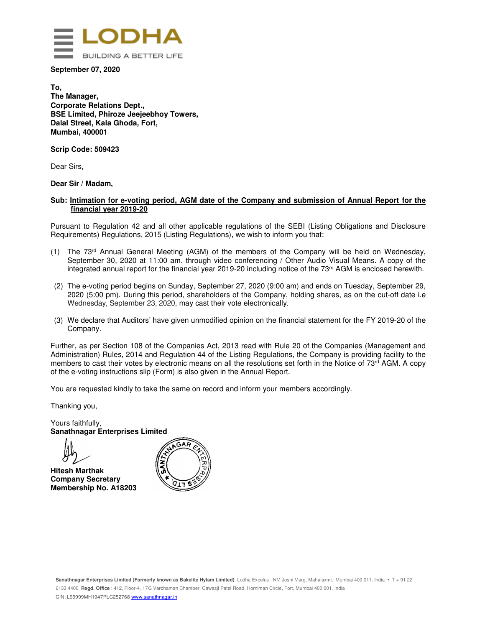

**September 07, 2020** 

**To, The Manager, Corporate Relations Dept., BSE Limited, Phiroze Jeejeebhoy Towers, Dalal Street, Kala Ghoda, Fort, Mumbai, 400001** 

**Scrip Code: 509423** 

Dear Sirs,

#### **Dear Sir / Madam,**

#### **Sub: Intimation for e-voting period, AGM date of the Company and submission of Annual Report for the financial year 2019-20**

Pursuant to Regulation 42 and all other applicable regulations of the SEBI (Listing Obligations and Disclosure Requirements) Regulations, 2015 (Listing Regulations), we wish to inform you that:

- (1) The 73rd Annual General Meeting (AGM) of the members of the Company will be held on Wednesday, September 30, 2020 at 11:00 am. through video conferencing / Other Audio Visual Means. A copy of the integrated annual report for the financial year 2019-20 including notice of the 73rd AGM is enclosed herewith.
- (2) The e-voting period begins on Sunday, September 27, 2020 (9:00 am) and ends on Tuesday, September 29, 2020 (5:00 pm). During this period, shareholders of the Company, holding shares, as on the cut-off date i.e Wednesday, September 23, 2020, may cast their vote electronically.
- (3) We declare that Auditors' have given unmodified opinion on the financial statement for the FY 2019-20 of the Company.

Further, as per Section 108 of the Companies Act, 2013 read with Rule 20 of the Companies (Management and Administration) Rules, 2014 and Regulation 44 of the Listing Regulations, the Company is providing facility to the members to cast their votes by electronic means on all the resolutions set forth in the Notice of  $73<sup>rd</sup>$  AGM. A copy of the e-voting instructions slip (Form) is also given in the Annual Report.

You are requested kindly to take the same on record and inform your members accordingly.

Thanking you,

Yours faithfully, **Sanathnagar Enterprises Limited** 



 **Hitesh Marthak Company Secretary Membership No. A18203** 

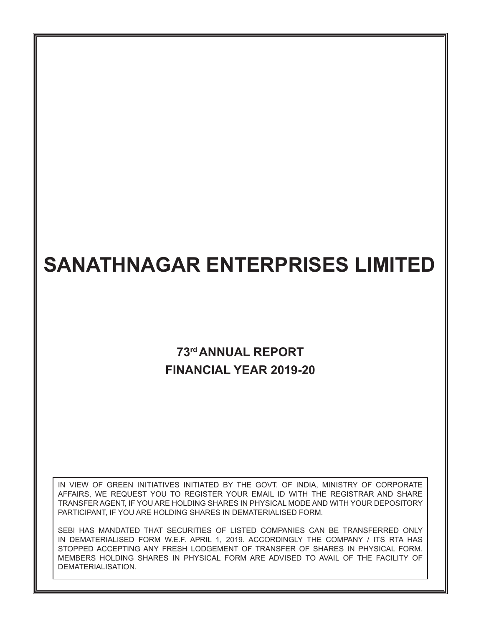# **SANATHNAGAR ENTERPRISES LIMITED**

## **73rd ANNUAL REPORT FINANCIAL YEAR 2019-20**

IN VIEW OF GREEN INITIATIVES INITIATED BY THE GOVT. OF INDIA, MINISTRY OF CORPORATE AFFAIRS, WE REQUEST YOU TO REGISTER YOUR EMAIL ID WITH THE REGISTRAR AND SHARE TRANSFER AGENT, IF YOU ARE HOLDING SHARES IN PHYSICAL MODE AND WITH YOUR DEPOSITORY PARTICIPANT, IF YOU ARE HOLDING SHARES IN DEMATERIALISED FORM.

SEBI HAS MANDATED THAT SECURITIES OF LISTED COMPANIES CAN BE TRANSFERRED ONLY IN DEMATERIALISED FORM W.E.F. APRIL 1, 2019. ACCORDINGLY THE COMPANY / ITS RTA HAS STOPPED ACCEPTING ANY FRESH LODGEMENT OF TRANSFER OF SHARES IN PHYSICAL FORM. MEMBERS HOLDING SHARES IN PHYSICAL FORM ARE ADVISED TO AVAIL OF THE FACILITY OF DEMATERIALISATION.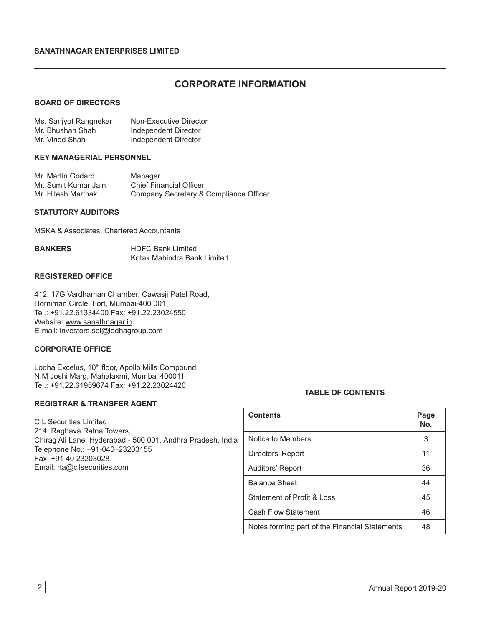### **CORPORATE INFORMATION**

#### **BOARD OF DIRECTORS**

| Ms. Sanjyot Rangnekar | Non-Executive Director |
|-----------------------|------------------------|
| Mr. Bhushan Shah      | Independent Director   |
| Mr. Vinod Shah        | Independent Director   |

#### **KEY MANAGERIAL PERSONNEL**

| Mr. Martin Godard    | Manager                                |
|----------------------|----------------------------------------|
| Mr. Sumit Kumar Jain | <b>Chief Financial Officer</b>         |
| Mr. Hitesh Marthak   | Company Secretary & Compliance Officer |

#### **STATUTORY AUDITORS**

MSKA & Associates, Chartered Accountants

| <b>BANKERS</b> | <b>HDFC Bank Limited</b>    |
|----------------|-----------------------------|
|                | Kotak Mahindra Bank Limited |

#### **REGISTERED OFFICE**

412, 17G Vardhaman Chamber, Cawasji Patel Road, Horniman Circle, Fort, Mumbai-400 001 Tel.: +91.22.61334400 Fax: +91.22.23024550 Website: www.sanathnagar.in E-mail: investors.sel@lodhagroup.com

#### **CORPORATE OFFICE**

Lodha Excelus, 10<sup>th</sup> floor, Apollo Mills Compound, N.M Joshi Marg, Mahalaxmi, Mumbai 400011 Tel.: +91.22.61959674 Fax: +91.22.23024420

#### **REGISTRAR & TRANSFER AGENT**

CIL Securities Limited 214, Raghava Ratna Towers, Chirag Ali Lane, Hyderabad - 500 001. Andhra Pradesh, India Telephone No.: +91-040–23203155 Fax: +91 40 23203028 Email: rta@cilsecurities.com

#### **TABLE OF CONTENTS**

| <b>Contents</b>                                | Page<br>No. |
|------------------------------------------------|-------------|
| Notice to Members                              | 3           |
| Directors' Report                              | 11          |
| Auditors' Report                               | 36          |
| <b>Balance Sheet</b>                           | 44          |
| Statement of Profit & Loss                     | 45          |
| <b>Cash Flow Statement</b>                     | 46          |
| Notes forming part of the Financial Statements | 48          |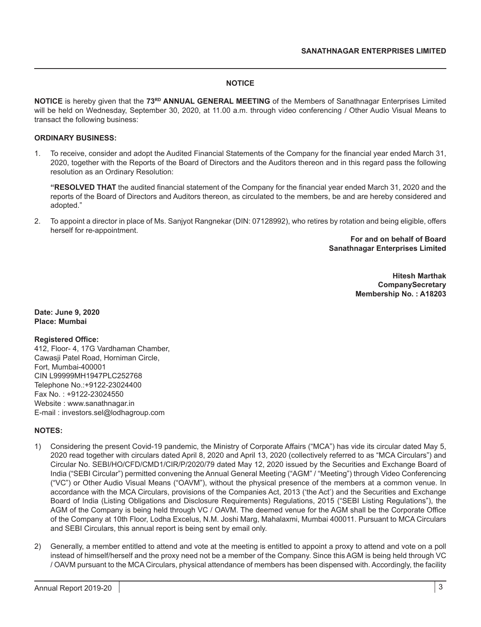#### **NOTICE**

**NOTICE** is hereby given that the **73RD ANNUAL GENERAL MEETING** of the Members of Sanathnagar Enterprises Limited will be held on Wednesday, September 30, 2020, at 11.00 a.m. through video conferencing / Other Audio Visual Means to transact the following business:

#### **ORDINARY BUSINESS:**

1. To receive, consider and adopt the Audited Financial Statements of the Company for the financial year ended March 31, 2020, together with the Reports of the Board of Directors and the Auditors thereon and in this regard pass the following resolution as an Ordinary Resolution:

**"RESOLVED THAT** the audited financial statement of the Company for the financial year ended March 31, 2020 and the reports of the Board of Directors and Auditors thereon, as circulated to the members, be and are hereby considered and adopted."

2. To appoint a director in place of Ms. Sanjyot Rangnekar (DIN: 07128992), who retires by rotation and being eligible, offers herself for re-appointment.

> **For and on behalf of Board Sanathnagar Enterprises Limited**

> > **Hitesh Marthak CompanySecretary Membership No. : A18203**

**Date: June 9, 2020 Place: Mumbai**

#### **Registered Office:**

412, Floor- 4, 17G Vardhaman Chamber, Cawasji Patel Road, Horniman Circle, Fort, Mumbai-400001 CIN L99999MH1947PLC252768 Telephone No.:+9122-23024400 Fax No. : +9122-23024550 Website : www.sanathnagar.in E-mail : investors.sel@lodhagroup.com

#### **NOTES:**

- 1) Considering the present Covid-19 pandemic, the Ministry of Corporate Affairs ("MCA") has vide its circular dated May 5, 2020 read together with circulars dated April 8, 2020 and April 13, 2020 (collectively referred to as "MCA Circulars") and Circular No. SEBI/HO/CFD/CMD1/CIR/P/2020/79 dated May 12, 2020 issued by the Securities and Exchange Board of India ("SEBI Circular") permitted convening the Annual General Meeting ("AGM" / "Meeting") through Video Conferencing ("VC") or Other Audio Visual Means ("OAVM"), without the physical presence of the members at a common venue. In accordance with the MCA Circulars, provisions of the Companies Act, 2013 ('the Act') and the Securities and Exchange Board of India (Listing Obligations and Disclosure Requirements) Regulations, 2015 ("SEBI Listing Regulations"), the AGM of the Company is being held through VC / OAVM. The deemed venue for the AGM shall be the Corporate Office of the Company at 10th Floor, Lodha Excelus, N.M. Joshi Marg, Mahalaxmi, Mumbai 400011. Pursuant to MCA Circulars and SEBI Circulars, this annual report is being sent by email only.
- 2) Generally, a member entitled to attend and vote at the meeting is entitled to appoint a proxy to attend and vote on a poll instead of himself/herself and the proxy need not be a member of the Company. Since this AGM is being held through VC / OAVM pursuant to the MCA Circulars, physical attendance of members has been dispensed with. Accordingly, the facility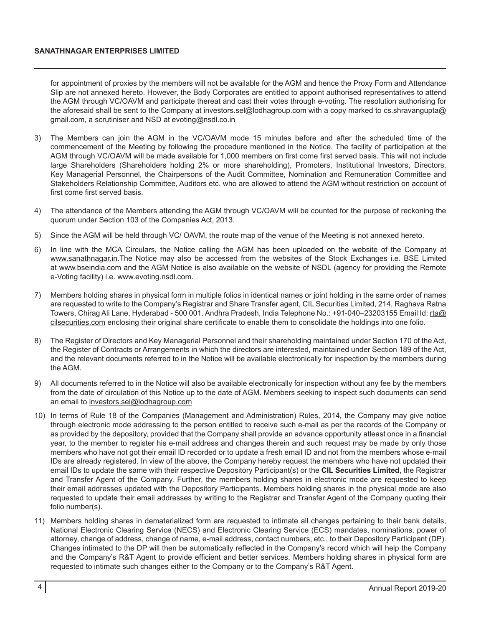for appointment of proxies by the members will not be available for the AGM and hence the Proxy Form and Attendance Slip are not annexed hereto. However, the Body Corporates are entitled to appoint authorised representatives to attend the AGM through VC/OAVM and participate thereat and cast their votes through e-voting. The resolution authorising for the aforesaid shall be sent to the Company at investors.sel@lodhagroup.com with a copy marked to cs.shravangupta@ gmail.com, a scrutiniser and NSD at evoting@nsdl.co.in

- 3) The Members can join the AGM in the VC/OAVM mode 15 minutes before and after the scheduled time of the commencement of the Meeting by following the procedure mentioned in the Notice. The facility of participation at the AGM through VC/OAVM will be made available for 1,000 members on first come first served basis. This will not include large Shareholders (Shareholders holding 2% or more shareholding), Promoters, Institutional Investors, Directors, Key Managerial Personnel, the Chairpersons of the Audit Committee, Nomination and Remuneration Committee and Stakeholders Relationship Committee, Auditors etc. who are allowed to attend the AGM without restriction on account of first come first served basis.
- 4) The attendance of the Members attending the AGM through VC/OAVM will be counted for the purpose of reckoning the quorum under Section 103 of the Companies Act, 2013.
- 5) Since the AGM will be held through VC/ OAVM, the route map of the venue of the Meeting is not annexed hereto.
- 6) In line with the MCA Circulars, the Notice calling the AGM has been uploaded on the website of the Company at www.sanathnagar.in.The Notice may also be accessed from the websites of the Stock Exchanges i.e. BSE Limited at www.bseindia.com and the AGM Notice is also available on the website of NSDL (agency for providing the Remote e-Voting facility) i.e. www.evoting.nsdl.com.
- 7) Members holding shares in physical form in multiple folios in identical names or joint holding in the same order of names are requested to write to the Company's Registrar and Share Transfer agent, CIL Securities Limited, 214, Raghava Ratna Towers, Chirag Ali Lane, Hyderabad - 500 001. Andhra Pradesh, India Telephone No.: +91-040-23203155 Email Id: rta@ cilsecurities.com enclosing their original share certificate to enable them to consolidate the holdings into one folio.
- 8) The Register of Directors and Key Managerial Personnel and their shareholding maintained under Section 170 of the Act, the Register of Contracts or Arrangements in which the directors are interested, maintained under Section 189 of the Act, and the relevant documents referred to in the Notice will be available electronically for inspection by the members during the AGM.
- 9) All documents referred to in the Notice will also be available electronically for inspection without any fee by the members from the date of circulation of this Notice up to the date of AGM. Members seeking to inspect such documents can send an email to investors.sel@lodhagroup.com
- 10) In terms of Rule 18 of the Companies (Management and Administration) Rules, 2014, the Company may give notice through electronic mode addressing to the person entitled to receive such e-mail as per the records of the Company or as provided by the depository, provided that the Company shall provide an advance opportunity atleast once in a financial year, to the member to register his e-mail address and changes therein and such request may be made by only those members who have not got their email ID recorded or to update a fresh email ID and not from the members whose e-mail IDs are already registered. In view of the above, the Company hereby request the members who have not updated their email IDs to update the same with their respective Depository Participant(s) or the **CIL Securities Limited**, the Registrar and Transfer Agent of the Company. Further, the members holding shares in electronic mode are requested to keep their email addresses updated with the Depository Participants. Members holding shares in the physical mode are also requested to update their email addresses by writing to the Registrar and Transfer Agent of the Company quoting their folio number(s).
- 11) Members holding shares in dematerialized form are requested to intimate all changes pertaining to their bank details, National Electronic Clearing Service (NECS) and Electronic Clearing Service (ECS) mandates, nominations, power of attorney, change of address, change of name, e-mail address, contact numbers, etc., to their Depository Participant (DP). Changes intimated to the DP will then be automatically reflected in the Company's record which will help the Company and the Company's R&T Agent to provide efficient and better services. Members holding shares in physical form are requested to intimate such changes either to the Company or to the Company's R&T Agent.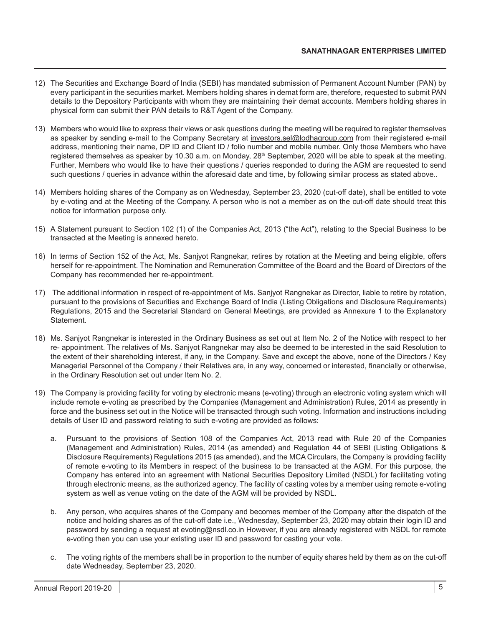- 12) The Securities and Exchange Board of India (SEBI) has mandated submission of Permanent Account Number (PAN) by every participant in the securities market. Members holding shares in demat form are, therefore, requested to submit PAN details to the Depository Participants with whom they are maintaining their demat accounts. Members holding shares in physical form can submit their PAN details to R&T Agent of the Company.
- 13) Members who would like to express their views or ask questions during the meeting will be required to register themselves as speaker by sending e-mail to the Company Secretary at investors.sel@lodhagroup.com from their registered e-mail address, mentioning their name, DP ID and Client ID / folio number and mobile number. Only those Members who have registered themselves as speaker by 10.30 a.m. on Monday, 28<sup>th</sup> September, 2020 will be able to speak at the meeting. Further, Members who would like to have their questions / queries responded to during the AGM are requested to send such questions / queries in advance within the aforesaid date and time, by following similar process as stated above..
- 14) Members holding shares of the Company as on Wednesday, September 23, 2020 (cut-off date), shall be entitled to vote by e-voting and at the Meeting of the Company. A person who is not a member as on the cut-off date should treat this notice for information purpose only.
- 15) A Statement pursuant to Section 102 (1) of the Companies Act, 2013 ("the Act"), relating to the Special Business to be transacted at the Meeting is annexed hereto.
- 16) In terms of Section 152 of the Act, Ms. Sanjyot Rangnekar, retires by rotation at the Meeting and being eligible, offers herself for re-appointment. The Nomination and Remuneration Committee of the Board and the Board of Directors of the Company has recommended her re-appointment.
- 17) The additional information in respect of re-appointment of Ms. Sanjyot Rangnekar as Director, liable to retire by rotation, pursuant to the provisions of Securities and Exchange Board of India (Listing Obligations and Disclosure Requirements) Regulations, 2015 and the Secretarial Standard on General Meetings, are provided as Annexure 1 to the Explanatory Statement.
- 18) Ms. Sanjyot Rangnekar is interested in the Ordinary Business as set out at Item No. 2 of the Notice with respect to her re- appointment. The relatives of Ms. Sanjyot Rangnekar may also be deemed to be interested in the said Resolution to the extent of their shareholding interest, if any, in the Company. Save and except the above, none of the Directors / Key Managerial Personnel of the Company / their Relatives are, in any way, concerned or interested, financially or otherwise, in the Ordinary Resolution set out under Item No. 2.
- 19) The Company is providing facility for voting by electronic means (e-voting) through an electronic voting system which will include remote e-voting as prescribed by the Companies (Management and Administration) Rules, 2014 as presently in force and the business set out in the Notice will be transacted through such voting. Information and instructions including details of User ID and password relating to such e-voting are provided as follows:
	- a. Pursuant to the provisions of Section 108 of the Companies Act, 2013 read with Rule 20 of the Companies (Management and Administration) Rules, 2014 (as amended) and Regulation 44 of SEBI (Listing Obligations & Disclosure Requirements) Regulations 2015 (as amended), and the MCA Circulars, the Company is providing facility of remote e-voting to its Members in respect of the business to be transacted at the AGM. For this purpose, the Company has entered into an agreement with National Securities Depository Limited (NSDL) for facilitating voting through electronic means, as the authorized agency. The facility of casting votes by a member using remote e-voting system as well as venue voting on the date of the AGM will be provided by NSDL.
	- b. Any person, who acquires shares of the Company and becomes member of the Company after the dispatch of the notice and holding shares as of the cut-off date i.e., Wednesday, September 23, 2020 may obtain their login ID and password by sending a request at evoting@nsdl.co.in However, if you are already registered with NSDL for remote e-voting then you can use your existing user ID and password for casting your vote.
	- c. The voting rights of the members shall be in proportion to the number of equity shares held by them as on the cut-off date Wednesday, September 23, 2020.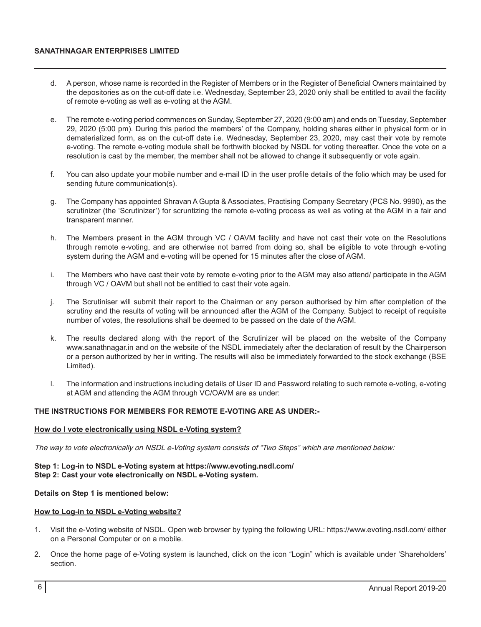#### **SANATHNAGAR ENTERPRISES LIMITED**

- d. A person, whose name is recorded in the Register of Members or in the Register of Beneficial Owners maintained by the depositories as on the cut-off date i.e. Wednesday, September 23, 2020 only shall be entitled to avail the facility of remote e-voting as well as e-voting at the AGM.
- e. The remote e-voting period commences on Sunday, September 27, 2020 (9:00 am) and ends on Tuesday, September 29, 2020 (5:00 pm). During this period the members' of the Company, holding shares either in physical form or in dematerialized form, as on the cut-off date i.e. Wednesday, September 23, 2020, may cast their vote by remote e-voting. The remote e-voting module shall be forthwith blocked by NSDL for voting thereafter. Once the vote on a resolution is cast by the member, the member shall not be allowed to change it subsequently or vote again.
- f. You can also update your mobile number and e-mail ID in the user profile details of the folio which may be used for sending future communication(s).
- g. The Company has appointed Shravan A Gupta & Associates, Practising Company Secretary (PCS No. 9990), as the scrutinizer (the 'Scrutinizer') for scruntizing the remote e-voting process as well as voting at the AGM in a fair and transparent manner.
- h. The Members present in the AGM through VC / OAVM facility and have not cast their vote on the Resolutions through remote e-voting, and are otherwise not barred from doing so, shall be eligible to vote through e-voting system during the AGM and e-voting will be opened for 15 minutes after the close of AGM.
- i. The Members who have cast their vote by remote e-voting prior to the AGM may also attend/ participate in the AGM through VC / OAVM but shall not be entitled to cast their vote again.
- j. The Scrutiniser will submit their report to the Chairman or any person authorised by him after completion of the scrutiny and the results of voting will be announced after the AGM of the Company. Subject to receipt of requisite number of votes, the resolutions shall be deemed to be passed on the date of the AGM.
- k. The results declared along with the report of the Scrutinizer will be placed on the website of the Company www.sanathnagar.in and on the website of the NSDL immediately after the declaration of result by the Chairperson or a person authorized by her in writing. The results will also be immediately forwarded to the stock exchange (BSE Limited).
- l. The information and instructions including details of User ID and Password relating to such remote e-voting, e-voting at AGM and attending the AGM through VC/OAVM are as under:

#### **THE INSTRUCTIONS FOR MEMBERS FOR REMOTE E-VOTING ARE AS UNDER:-**

#### **How do I vote electronically using NSDL e-Voting system?**

The way to vote electronically on NSDL e-Voting system consists of "Two Steps" which are mentioned below:

#### **Step 1: Log-in to NSDL e-Voting system at https://www.evoting.nsdl.com/ Step 2: Cast your vote electronically on NSDL e-Voting system.**

#### **Details on Step 1 is mentioned below:**

#### **How to Log-in to NSDL e-Voting website?**

- 1. Visit the e-Voting website of NSDL. Open web browser by typing the following URL: https://www.evoting.nsdl.com/ either on a Personal Computer or on a mobile.
- 2. Once the home page of e-Voting system is launched, click on the icon "Login" which is available under 'Shareholders' section.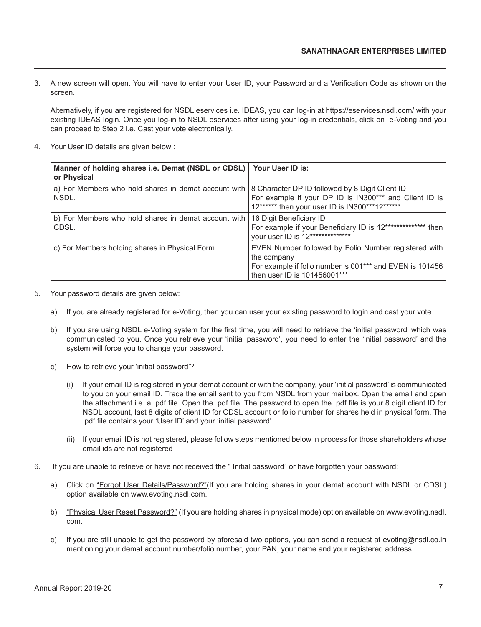3. A new screen will open. You will have to enter your User ID, your Password and a Verification Code as shown on the screen.

Alternatively, if you are registered for NSDL eservices i.e. IDEAS, you can log-in at https://eservices.nsdl.com/ with your existing IDEAS login. Once you log-in to NSDL eservices after using your log-in credentials, click on e-Voting and you can proceed to Step 2 i.e. Cast your vote electronically.

4. Your User ID details are given below :

| Manner of holding shares i.e. Demat (NSDL or CDSL)   Your User ID is:<br>or Physical                          |                                                                                                                                                                 |
|---------------------------------------------------------------------------------------------------------------|-----------------------------------------------------------------------------------------------------------------------------------------------------------------|
| a) For Members who hold shares in demat account with 8 Character DP ID followed by 8 Digit Client ID<br>NSDL. | For example if your DP ID is IN300*** and Client ID is<br>12****** then your user ID is IN300***12******.                                                       |
| b) For Members who hold shares in demat account with<br>CDSL.                                                 | 16 Digit Beneficiary ID<br>For example if your Beneficiary ID is 12************** then<br>your user ID is 12**************                                      |
| c) For Members holding shares in Physical Form.                                                               | EVEN Number followed by Folio Number registered with<br>the company<br>For example if folio number is 001*** and EVEN is 101456<br>then user ID is 101456001*** |

- 5. Your password details are given below:
	- a) If you are already registered for e-Voting, then you can user your existing password to login and cast your vote.
	- b) If you are using NSDL e-Voting system for the first time, you will need to retrieve the 'initial password' which was communicated to you. Once you retrieve your 'initial password', you need to enter the 'initial password' and the system will force you to change your password.
	- c) How to retrieve your 'initial password'?
		- (i) If your email ID is registered in your demat account or with the company, your 'initial password' is communicated to you on your email ID. Trace the email sent to you from NSDL from your mailbox. Open the email and open the attachment i.e. a .pdf file. Open the .pdf file. The password to open the .pdf file is your 8 digit client ID for NSDL account, last 8 digits of client ID for CDSL account or folio number for shares held in physical form. The .pdf file contains your 'User ID' and your 'initial password'.
		- (ii) If your email ID is not registered, please follow steps mentioned below in process for those shareholders whose email ids are not registered
- 6. If you are unable to retrieve or have not received the " Initial password" or have forgotten your password:
	- a) Click on "Forgot User Details/Password?"(If you are holding shares in your demat account with NSDL or CDSL) option available on www.evoting.nsdl.com.
	- b) "Physical User Reset Password?" (If you are holding shares in physical mode) option available on www.evoting.nsdl. com.
	- c) If you are still unable to get the password by aforesaid two options, you can send a request at evoting@nsdl.co.in mentioning your demat account number/folio number, your PAN, your name and your registered address.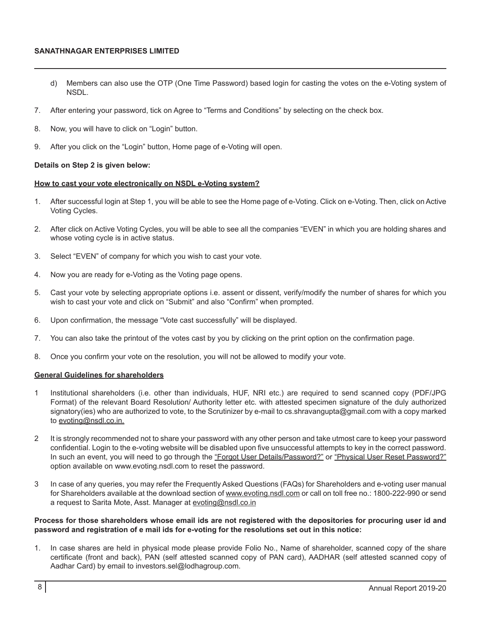#### **SANATHNAGAR ENTERPRISES LIMITED**

- d) Members can also use the OTP (One Time Password) based login for casting the votes on the e-Voting system of NSDL.
- 7. After entering your password, tick on Agree to "Terms and Conditions" by selecting on the check box.
- 8. Now, you will have to click on "Login" button.
- 9. After you click on the "Login" button, Home page of e-Voting will open.

#### **Details on Step 2 is given below:**

#### **How to cast your vote electronically on NSDL e-Voting system?**

- 1. After successful login at Step 1, you will be able to see the Home page of e-Voting. Click on e-Voting. Then, click on Active Voting Cycles.
- 2. After click on Active Voting Cycles, you will be able to see all the companies "EVEN" in which you are holding shares and whose voting cycle is in active status.
- 3. Select "EVEN" of company for which you wish to cast your vote.
- 4. Now you are ready for e-Voting as the Voting page opens.
- 5. Cast your vote by selecting appropriate options i.e. assent or dissent, verify/modify the number of shares for which you wish to cast your vote and click on "Submit" and also "Confirm" when prompted.
- 6. Upon confirmation, the message "Vote cast successfully" will be displayed.
- 7. You can also take the printout of the votes cast by you by clicking on the print option on the confirmation page.
- 8. Once you confirm your vote on the resolution, you will not be allowed to modify your vote.

#### **General Guidelines for shareholders**

- 1 Institutional shareholders (i.e. other than individuals, HUF, NRI etc.) are required to send scanned copy (PDF/JPG Format) of the relevant Board Resolution/ Authority letter etc. with attested specimen signature of the duly authorized signatory(ies) who are authorized to vote, to the Scrutinizer by e-mail to cs.shravangupta@gmail.com with a copy marked to evoting@nsdl.co.in.
- 2 It is strongly recommended not to share your password with any other person and take utmost care to keep your password confidential. Login to the e-voting website will be disabled upon five unsuccessful attempts to key in the correct password. In such an event, you will need to go through the "Forgot User Details/Password?" or "Physical User Reset Password?" option available on www.evoting.nsdl.com to reset the password.
- 3 In case of any queries, you may refer the Frequently Asked Questions (FAQs) for Shareholders and e-voting user manual for Shareholders available at the download section of www.evoting.nsdl.com or call on toll free no.: 1800-222-990 or send a request to Sarita Mote, Asst. Manager at evoting@nsdl.co.in

#### **Process for those shareholders whose email ids are not registered with the depositories for procuring user id and password and registration of e mail ids for e-voting for the resolutions set out in this notice:**

1. In case shares are held in physical mode please provide Folio No., Name of shareholder, scanned copy of the share certificate (front and back), PAN (self attested scanned copy of PAN card), AADHAR (self attested scanned copy of Aadhar Card) by email to investors.sel@lodhagroup.com.